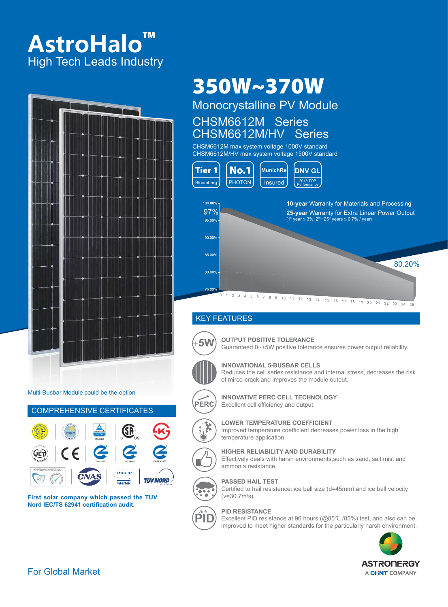## AstroHalo<sup>™</sup> High Tech Leads Industry



Multi-Busbar Module could be the option



**First solar company which passed the TUV Nord IEC/TS 62941 certification audit.** 

# 350W~370W

Monocrystalline PV Module

## CHSM6612M Series CHSM6612M/HV Series

CHSM6612M max system voltage 1000V standard CHSM6612M/HV max system voltage 1500V standard



#### KEY FEATURES



**OUTPUT POSITIVE TOLERANCE** Guaranteed 0~+5W positive tolerance ensures power output reliability.



#### **INNOVATIONAL 5-BUSBAR CELLS**

Reduces the cell series resistance and internal stress, decreases the risk of mirco-crack and improves the module output.



**INNOVATIVE PERC CELL TECHNOLOGY**





#### **LOWER TEMPERATURE COEFFICIENT**

Improved temperature coefficient decreases power loss in the high temperature application.



#### **HIGHER RELIABILITY AND DURABILITY**

Effectively deals with harsh environments,such as sand, salt mist and ammonia resistance.

### **PASSED HAIL TEST**

Certified to hail resistence: ice ball size (d=45mm) and ice ball velocity (v=30.7m/s).



#### **PID RESISTANCE**

Excellent PID resistance at 96 hours (@85℃ /85%) test, and also can be improved to meet higher standards for the particularly harsh environment.